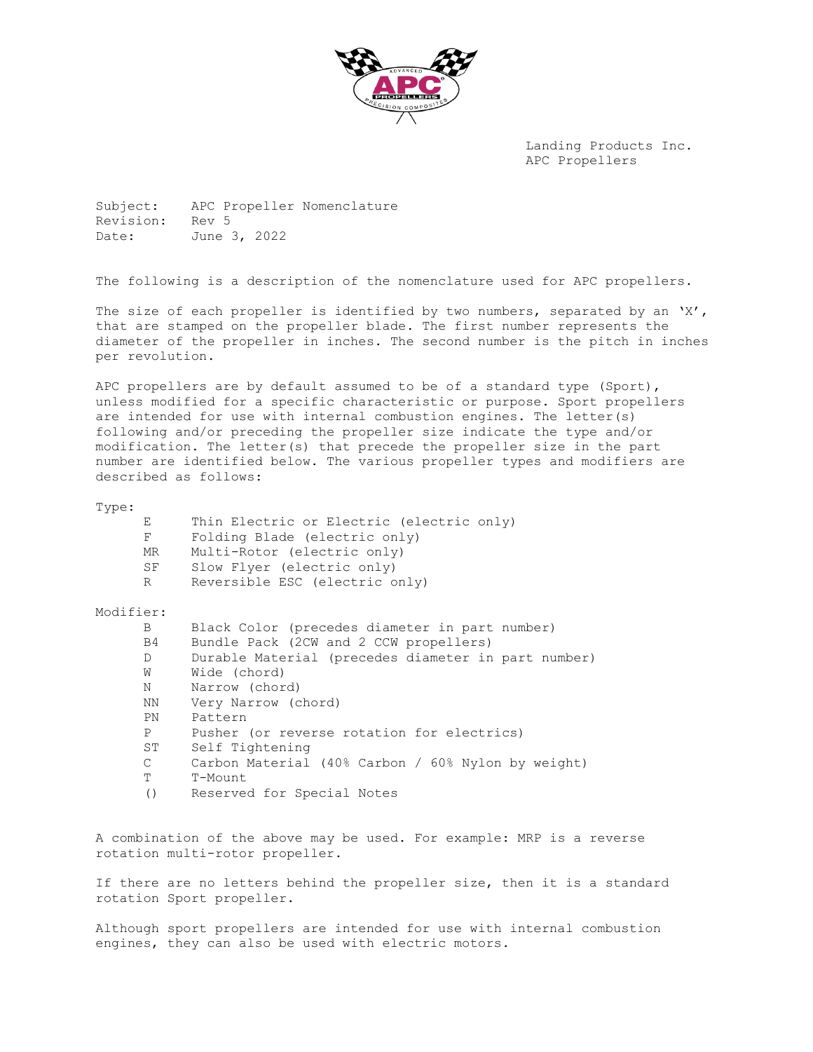

Landing Products Inc. APC Propellers

Subject: APC Propeller Nomenclature Revision: Rev 5 Date: June 3, 2022

The following is a description of the nomenclature used for APC propellers.

The size of each propeller is identified by two numbers, separated by an 'X', that are stamped on the propeller blade. The first number represents the diameter of the propeller in inches. The second number is the pitch in inches per revolution.

APC propellers are by default assumed to be of a standard type (Sport), unless modified for a specific characteristic or purpose. Sport propellers are intended for use with internal combustion engines. The letter(s) following and/or preceding the propeller size indicate the type and/or modification. The letter(s) that precede the propeller size in the part number are identified below. The various propeller types and modifiers are described as follows:

| Thin Electric or Electric (electric only)                                                                                                                                                                                                                                |
|--------------------------------------------------------------------------------------------------------------------------------------------------------------------------------------------------------------------------------------------------------------------------|
| Folding Blade (electric only)<br>F                                                                                                                                                                                                                                       |
| Multi-Rotor (electric only)<br>MR                                                                                                                                                                                                                                        |
| SF<br>Slow Flyer (electric only)                                                                                                                                                                                                                                         |
| Reversible ESC (electric only)<br>$R_{\perp}$                                                                                                                                                                                                                            |
| Modifier:                                                                                                                                                                                                                                                                |
| Black Color (precedes diameter in part number)<br>$\mathbf{B}$                                                                                                                                                                                                           |
| Bundle Pack (2CW and 2 CCW propellers)<br>B4 and the set of the set of the set of the set of the set of the set of the set of the set of the set of the set of the set of the set of the set of the set of the set of the set of the set of the set of the set of the se |
| Durable Material (precedes diameter in part number)<br>$D \qquad \qquad$                                                                                                                                                                                                 |
| Wide (chord)<br>W                                                                                                                                                                                                                                                        |
| Narrow (chord)<br>N                                                                                                                                                                                                                                                      |
| Very Narrow (chord)<br>NN 1999 N                                                                                                                                                                                                                                         |
| Pattern<br>PN                                                                                                                                                                                                                                                            |
| Pusher (or reverse rotation for electrics)<br>$P \qquad \qquad$                                                                                                                                                                                                          |
| ST<br>Self Tightening                                                                                                                                                                                                                                                    |
| Carbon Material (40% Carbon / 60% Nylon by weight)                                                                                                                                                                                                                       |
| T-Mount                                                                                                                                                                                                                                                                  |
| Reserved for Special Notes                                                                                                                                                                                                                                               |
|                                                                                                                                                                                                                                                                          |
|                                                                                                                                                                                                                                                                          |

A combination of the above may be used. For example: MRP is a reverse rotation multi-rotor propeller.

If there are no letters behind the propeller size, then it is a standard rotation Sport propeller.

Although sport propellers are intended for use with internal combustion engines, they can also be used with electric motors.